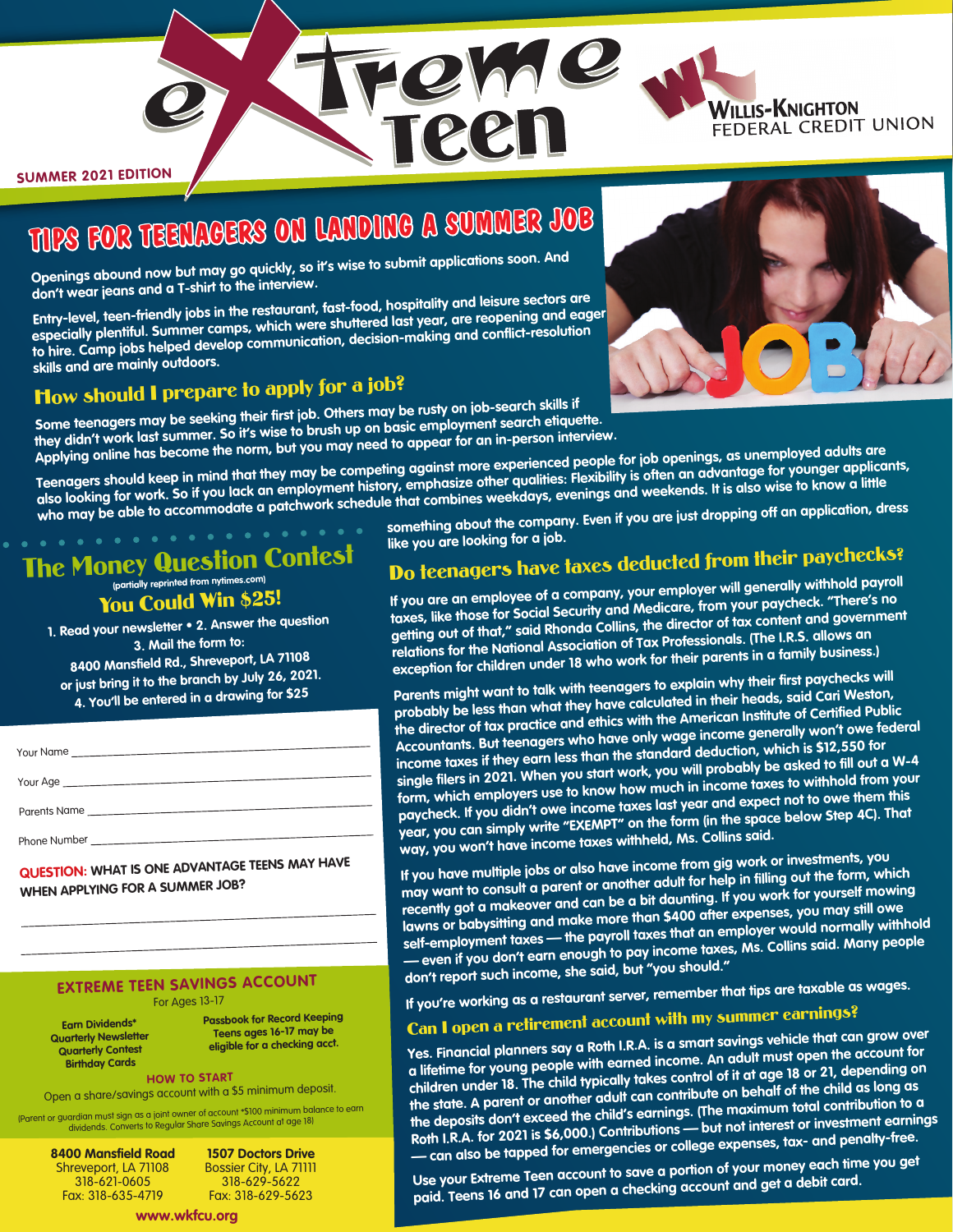

# **TIPS FOR TEENAGERS ON LANDING A SUMMER JOB**

**Openings abound now but may go quickly, so it's wise to submit applications soon. And don't wear jeans and a T-shirt to the interview.**

**Entry-level, teen-friendly jobs in the restaurant, fast-food, hospitality and leisure sectors are especially plentiful. Summer camps, which were shuttered last year, are reopening and eager to hire. Camp jobs helped develop communication, decision-making and conflict-resolution skills and are mainly outdoors.**

## How should I prepare to apply for a job?

**Some teenagers may be seeking their first job. Others may be rusty on job-search skills if they didn't work last summer. So it's wise to brush up on basic employment search etiquette. Applying online has become the norm, but you may need to appear for an in-person interview.**

**Teenagers should keep in mind that they may be competing against more experienced people for job openings, as unemployed adults are also looking for work. So if you lack an employment history, emphasize other qualities: Flexibility is often an advantage for younger applicants, who may be able to accommodate a patchwork schedule that combines weekdays, evenings and weekends. It is also wise to know a little** 

**IQMC** 

**211** 

The Money Question Contest **(partially reprinted from nytimes.com)**

## You Could Win \$25!

**1. Read your newsletter • 2. Answer the question 3. Mail the form to: 8400 Mansfield Rd., Shreveport, LA 71108 or just bring it to the branch by July 26, 2021. 4. You'll be entered in a drawing for \$25**

| Your Name    |  |
|--------------|--|
|              |  |
| Parents Name |  |
|              |  |

**QUESTION: WHAT IS ONE ADVANTAGE TEENS MAY HAVE WHEN APPLYING FOR A SUMMER JOB?**

### **EXTREME TEEN SAVINGS ACCOUNT** For Ages 13-17

**Earn Dividends\* Quarterly Newsletter Quarterly Contest Birthday Cards**

**Passbook for Record Keeping Teens ages 16-17 may be eligible for a checking acct.**

**HOW TO START** Open a share/savings account with a \$5 minimum deposit.

(Parent or guardian must sign as a joint owner of account \*\$100 minimum balance to earn dividends. Converts to Regular Share Savings Account at age 18)

**8400 Mansfield Road** Shreveport, LA 71108 318-621-0605 Fax: 318-635-4719 **www.wkfcu.org**

**1507 Doctors Drive** Bossier City, LA 71111 318-629-5622 Fax: 318-629-5623

**something about the company. Even if you are just dropping off an application, dress like you are looking for a job.**

## Do teenagers have taxes deducted from their paychecks?

**If you are an employee of a company, your employer will generally withhold payroll taxes, like those for Social Security and Medicare, from your paycheck. "There's no getting out of that," said Rhonda Collins, the director of tax content and government relations for the National Association of Tax Professionals. (The I.R.S. allows an exception for children under 18 who work for their parents in a family business.)**

**Parents might want to talk with teenagers to explain why their first paychecks will probably be less than what they have calculated in their heads, said Cari Weston, the director of tax practice and ethics with the American Institute of Certified Public Accountants. But teenagers who have only wage income generally won't owe federal income taxes if they earn less than the standard deduction, which is \$12,550 for single filers in 2021. When you start work, you will probably be asked to fill out a W-4 form, which employers use to know how much in income taxes to withhold from your paycheck. If you didn't owe income taxes last year and expect not to owe them this year, you can simply write "EXEMPT" on the form (in the space below Step 4C). That way, you won't have income taxes withheld, Ms. Collins said.**

**If you have multiple jobs or also have income from gig work or investments, you may want to consult a parent or another adult for help in filling out the form, which recently got a makeover and can be a bit daunting. If you work for yourself mowing lawns or babysitting and make more than \$400 after expenses, you may still owe self-employment taxes — the payroll taxes that an employer would normally withhold — even if you don't earn enough to pay income taxes, Ms. Collins said. Many people don't report such income, she said, but "you should."**

**If you're working as a restaurant server, remember that tips are taxable as wages.**

## Can I open a retirement account with my summer earnings?

**Yes. Financial planners say a Roth I.R.A. is a smart savings vehicle that can grow over a lifetime for young people with earned income. An adult must open the account for children under 18. The child typically takes control of it at age 18 or 21, depending on the state. A parent or another adult can contribute on behalf of the child as long as the deposits don't exceed the child's earnings. (The maximum total contribution to a Roth I.R.A. for 2021 is \$6,000.) Contributions — but not interest or investment earnings — can also be tapped for emergencies or college expenses, tax- and penalty-free.**

**Use your Extreme Teen account to save a portion of your money each time you get paid. Teens 16 and 17 can open a checking account and get a debit card.** 



**WILLIS-KNIGHTON** 

FEDERAL CREDIT UNION